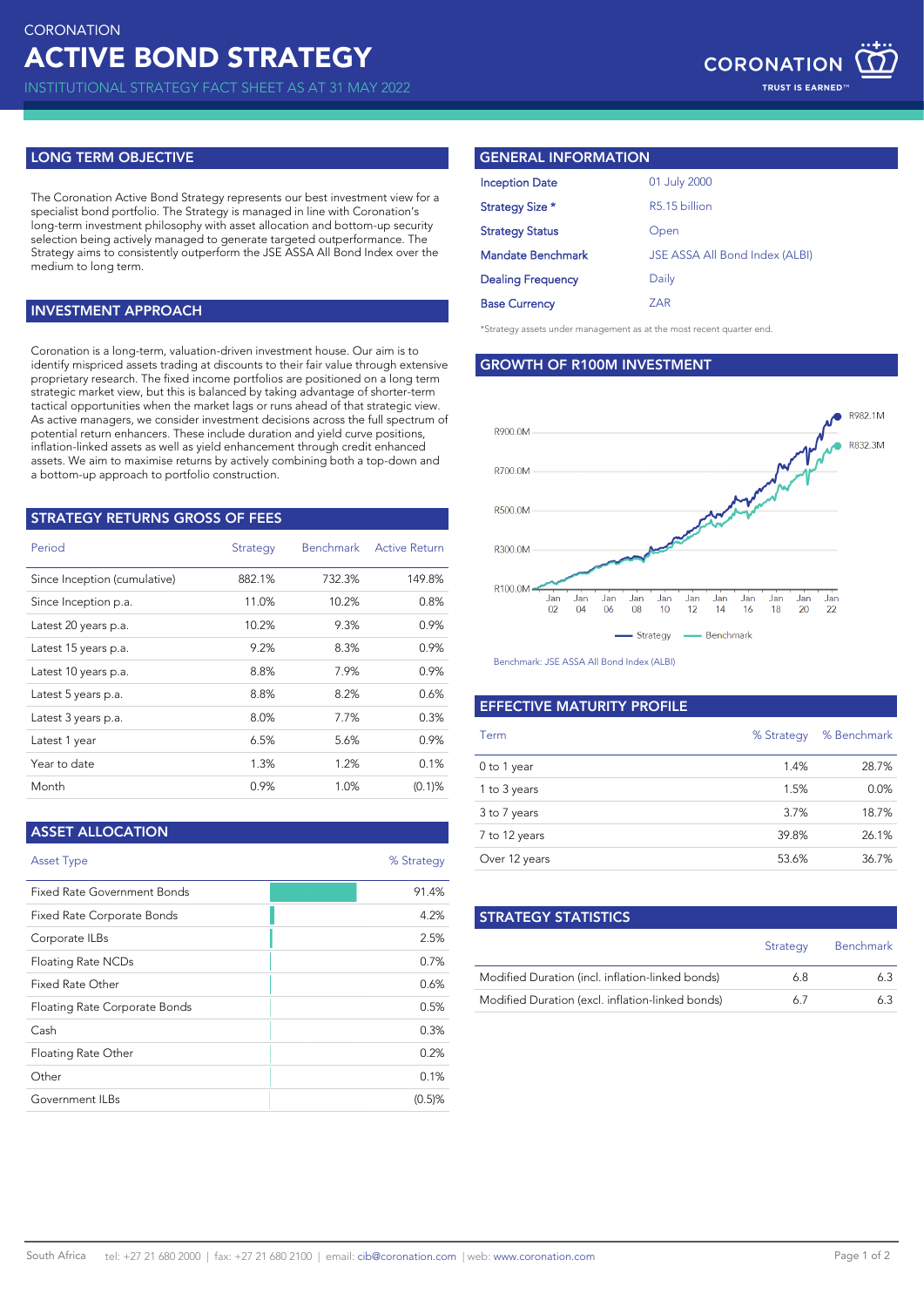INSTITUTIONAL STRATEGY FACT SHEET AS AT 31 MAY 2022

# **LONG TERM OBJECTIVE**

The Coronation Active Bond Strategy represents our best investment view for a specialist bond portfolio. The Strategy is managed in line with Coronation's long-term investment philosophy with asset allocation and bottom-up security selection being actively managed to generate targeted outperformance. The Strategy aims to consistently outperform the JSE ASSA All Bond Index over the medium to long term.

## **INVESTMENT APPROACH**

Coronation is a long-term, valuation-driven investment house. Our aim is to identify mispriced assets trading at discounts to their fair value through extensive proprietary research. The fixed income portfolios are positioned on a long term strategic market view, but this is balanced by taking advantage of shorter-term tactical opportunities when the market lags or runs ahead of that strategic view. As active managers, we consider investment decisions across the full spectrum of potential return enhancers. These include duration and yield curve positions, inflation-linked assets as well as yield enhancement through credit enhanced assets. We aim to maximise returns by actively combining both a top-down and a bottom-up approach to portfolio construction.

| <b>STRATEGY RETURNS GROSS OF FEES</b> |          |                  |                      |  |  |
|---------------------------------------|----------|------------------|----------------------|--|--|
| Period                                | Strategy | <b>Benchmark</b> | <b>Active Return</b> |  |  |
| Since Inception (cumulative)          | 882.1%   | 732.3%           | 149.8%               |  |  |
| Since Inception p.a.                  | 11.0%    | 10.2%            | 0.8%                 |  |  |
| Latest 20 years p.a.                  | 10.2%    | 9.3%             | 0.9%                 |  |  |
| Latest 15 years p.a.                  | 9.2%     | 8.3%             | 0.9%                 |  |  |
| Latest 10 years p.a.                  | 8.8%     | 7.9%             | 0.9%                 |  |  |
| Latest 5 years p.a.                   | 8.8%     | 8.2%             | 0.6%                 |  |  |
| Latest 3 years p.a.                   | 8.0%     | 7.7%             | 0.3%                 |  |  |
| Latest 1 year                         | 6.5%     | 5.6%             | 0.9%                 |  |  |
| Year to date                          | 1.3%     | 1.2%             | 0.1%                 |  |  |
| Month                                 | 0.9%     | 1.0%             | $(0.1)$ %            |  |  |

## **ASSET ALLOCATION**

| <b>Asset Type</b>                  | % Strategy |
|------------------------------------|------------|
| <b>Fixed Rate Government Bonds</b> | 91.4%      |
| Fixed Rate Corporate Bonds         | 4.2%       |
| Corporate ILBs                     | 2.5%       |
| Floating Rate NCDs                 | 0.7%       |
| Fixed Rate Other                   | 0.6%       |
| Floating Rate Corporate Bonds      | 0.5%       |
| Cash                               | 0.3%       |
| Floating Rate Other                | 0.2%       |
| Other                              | 0.1%       |
| Government ILBs                    | $(0.5)$ %  |

## **GENERAL INFORMATION**

| <b>Inception Date</b>    | 01 July 2000                   |
|--------------------------|--------------------------------|
| Strategy Size *          | R5.15 billion                  |
| <b>Strategy Status</b>   | Open                           |
| Mandate Benchmark        | JSE ASSA All Bond Index (ALBI) |
| <b>Dealing Frequency</b> | Daily                          |
| <b>Base Currency</b>     | 7AR                            |

\*Strategy assets under management as at the most recent quarter end.

**GROWTH OF R100M INVESTMENT**



Benchmark: JSE ASSA All Bond Index (ALBI)

### **EFFECTIVE MATURITY PROFILE**

| Term          | % Strategy | % Benchmark |
|---------------|------------|-------------|
| 0 to 1 year   | 1.4%       | 28.7%       |
| 1 to 3 years  | 1.5%       | 0.0%        |
| 3 to 7 years  | 3.7%       | 18.7%       |
| 7 to 12 years | 39.8%      | 26.1%       |
| Over 12 years | 53.6%      | 36.7%       |

| <b>STRATEGY STATISTICS</b>                       |          |                  |
|--------------------------------------------------|----------|------------------|
|                                                  | Strategy | <b>Benchmark</b> |
| Modified Duration (incl. inflation-linked bonds) | 6.8      | 63               |
| Modified Duration (excl. inflation-linked bonds) | 67       | 63               |